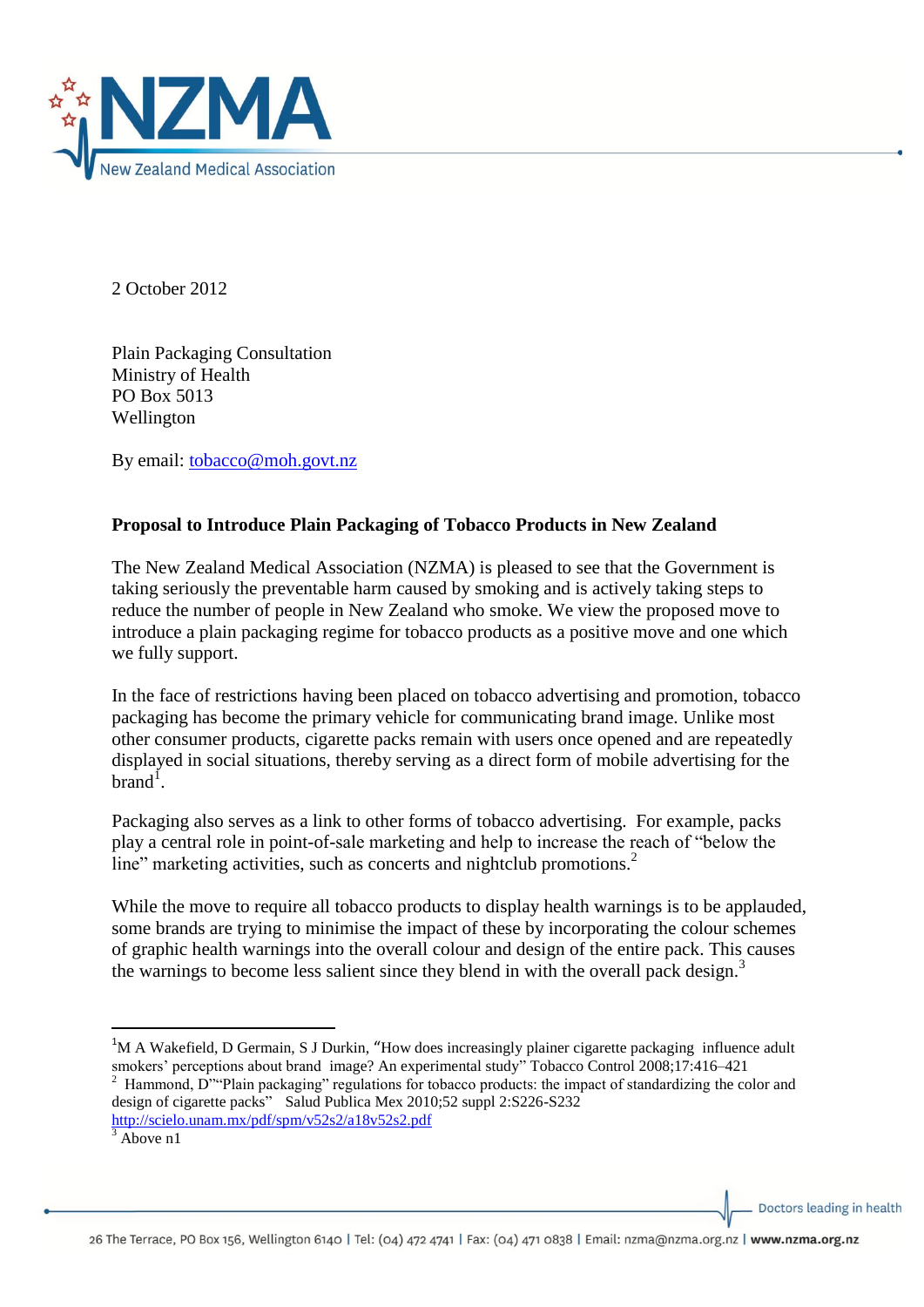

2 October 2012

Plain Packaging Consultation Ministry of Health PO Box 5013 Wellington

By email: [tobacco@moh.govt.nz](mailto:tobacco@moh.govt.nz)

## **Proposal to Introduce Plain Packaging of Tobacco Products in New Zealand**

The New Zealand Medical Association (NZMA) is pleased to see that the Government is taking seriously the preventable harm caused by smoking and is actively taking steps to reduce the number of people in New Zealand who smoke. We view the proposed move to introduce a plain packaging regime for tobacco products as a positive move and one which we fully support.

In the face of restrictions having been placed on tobacco advertising and promotion, tobacco packaging has become the primary vehicle for communicating brand image. Unlike most other consumer products, cigarette packs remain with users once opened and are repeatedly displayed in social situations, thereby serving as a direct form of mobile advertising for the brand<sup>1</sup>.

Packaging also serves as a link to other forms of tobacco advertising. For example, packs play a central role in point-of-sale marketing and help to increase the reach of "below the line" marketing activities, such as concerts and nightclub promotions.<sup>2</sup>

While the move to require all tobacco products to display health warnings is to be applauded, some brands are trying to minimise the impact of these by incorporating the colour schemes of graphic health warnings into the overall colour and design of the entire pack. This causes the warnings to become less salient since they blend in with the overall pack design.<sup>3</sup>

<sup>1</sup>M A Wakefield, D Germain, S J Durkin, "How does increasingly plainer cigarette packaging influence adult smokers' perceptions about brand image? An experimental study" Tobacco Control 2008;17:416–421 2 Hammond, D""Plain packaging" regulations for tobacco products: the impact of standardizing the color and design of cigarette packs" Salud Publica Mex 2010;52 suppl 2:S226-S232 <http://scielo.unam.mx/pdf/spm/v52s2/a18v52s2.pdf>

1

Doctors leading in health

Above n1